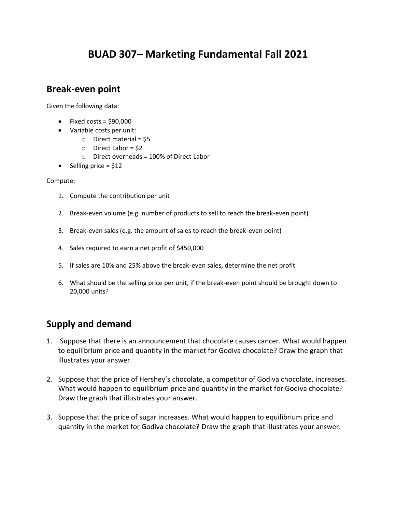# **BUAD 307– Marketing Fundamental Fall 2021**

### **Break-even point**

Given the following data:

- $\bullet$  Fixed costs = \$90,000
- Variable costs per unit:
	- $\circ$  Direct material = \$5
	- $\circ$  Direct Labor = \$2
	- o Direct overheads = 100% of Direct Labor
- Selling price  $= $12$

#### Compute:

- 1. Compute the contribution per unit
- 2. Break-even volume (e.g. number of products to sell to reach the break-even point)
- 3. Break-even sales (e.g. the amount of sales to reach the break-even point)
- 4. Sales required to earn a net profit of \$450,000
- 5. If sales are 10% and 25% above the break-even sales, determine the net profit
- 6. What should be the selling price per unit, if the break-even point should be brought down to 20,000 units?

## **Supply and demand**

- 1. Suppose that there is an announcement that chocolate causes cancer. What would happen to equilibrium price and quantity in the market for Godiva chocolate? Draw the graph that illustrates your answer.
- 2. Suppose that the price of Hershey's chocolate, a competitor of Godiva chocolate, increases. What would happen to equilibrium price and quantity in the market for Godiva chocolate? Draw the graph that illustrates your answer.
- 3. Suppose that the price of sugar increases. What would happen to equilibrium price and quantity in the market for Godiva chocolate? Draw the graph that illustrates your answer.